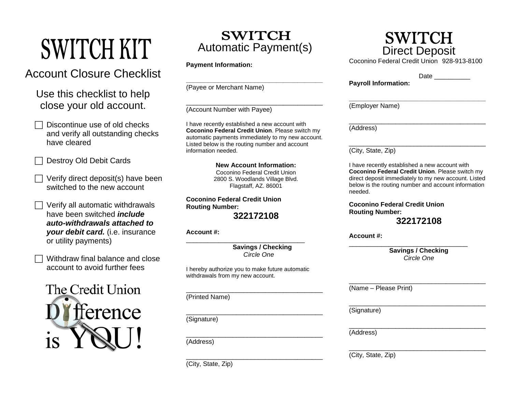# **SWITCH KIT**

## Account Closure Checklist

Use this checklist to help close your old account.

 Discontinue use of old checks and verify all outstanding checks have cleared

Destroy Old Debit Cards

- Verify direct deposit(s) have been switched to the new account
- Verify all automatic withdrawals have been switched *include auto-withdrawals attached to your debit card.* (i.e. insurance or utility payments)

 Withdraw final balance and close account to avoid further fees



### **SWITCH** Automatic Payment(s)

**Payment Information:**

**\_\_\_\_\_\_\_\_\_\_\_\_\_\_\_\_\_\_\_\_\_\_\_\_\_\_\_\_\_\_\_\_\_\_\_\_\_\_** (Payee or Merchant Name)

\_\_\_\_\_\_\_\_\_\_\_\_\_\_\_\_\_\_\_\_\_\_\_\_\_\_\_\_\_\_\_\_\_\_\_\_\_\_ (Account Number with Payee)

I have recently established a new account with **Coconino Federal Credit Union**. Please switch my automatic payments immediately to my new account. Listed below is the routing number and account information needed.

> **New Account Information:** Coconino Federal Credit Union 2800 S. Woodlands Village Blvd. Flagstaff, AZ. 86001

**Coconino Federal Credit Union Routing Number:**

**322172108**

**Account #:**

\_\_\_\_\_\_\_\_\_\_\_\_\_\_\_\_\_\_\_\_\_\_\_\_\_\_\_\_\_\_\_\_\_ **Savings / Checking**  *Circle One*

I hereby authorize you to make future automatic withdrawals from my new account.

\_\_\_\_\_\_\_\_\_\_\_\_\_\_\_\_\_\_\_\_\_\_\_\_\_\_\_\_\_\_\_\_\_\_\_\_\_\_ (Printed Name)

\_\_\_\_\_\_\_\_\_\_\_\_\_\_\_\_\_\_\_\_\_\_\_\_\_\_\_\_\_\_\_\_\_\_\_\_\_\_ (Signature)

\_\_\_\_\_\_\_\_\_\_\_\_\_\_\_\_\_\_\_\_\_\_\_\_\_\_\_\_\_\_\_\_\_\_\_\_\_\_ (Address)

\_\_\_\_\_\_\_\_\_\_\_\_\_\_\_\_\_\_\_\_\_\_\_\_\_\_\_\_\_\_\_\_\_\_\_\_\_\_ (City, State, Zip)

## **SWITCH** Direct Deposit

Coconino Federal Credit Union 928-913-8100

Date \_\_\_\_\_\_\_\_\_\_\_\_\_

**Payroll Information:**

**\_\_\_\_\_\_\_\_\_\_\_\_\_\_\_\_\_\_\_\_\_\_\_\_\_\_\_\_\_\_\_\_\_\_\_\_\_\_** (Employer Name)

\_\_\_\_\_\_\_\_\_\_\_\_\_\_\_\_\_\_\_\_\_\_\_\_\_\_\_\_\_\_\_\_\_\_\_\_\_\_ (Address)

\_\_\_\_\_\_\_\_\_\_\_\_\_\_\_\_\_\_\_\_\_\_\_\_\_\_\_\_\_\_\_\_\_\_\_\_\_\_ (City, State, Zip)

I have recently established a new account with **Coconino Federal Credit Union**. Please switch my direct deposit immediately to my new account. Listed below is the routing number and account information needed.

**Coconino Federal Credit Union Routing Number:** 

**322172108**

**Account #:**

\_\_\_\_\_\_\_\_\_\_\_\_\_\_\_\_\_\_\_\_\_\_\_\_\_\_\_\_\_\_\_\_\_ **Savings / Checking** *Circle One*

\_\_\_\_\_\_\_\_\_\_\_\_\_\_\_\_\_\_\_\_\_\_\_\_\_\_\_\_\_\_\_\_\_\_\_\_\_\_

\_\_\_\_\_\_\_\_\_\_\_\_\_\_\_\_\_\_\_\_\_\_\_\_\_\_\_\_\_\_\_\_\_\_\_\_\_\_ (Name – Please Print)

\_\_\_\_\_\_\_\_\_\_\_\_\_\_\_\_\_\_\_\_\_\_\_\_\_\_\_\_\_\_\_\_\_\_\_\_\_\_ (Signature)

\_\_\_\_\_\_\_\_\_\_\_\_\_\_\_\_\_\_\_\_\_\_\_\_\_\_\_\_\_\_\_\_\_\_\_\_\_\_ (Address)

(City, State, Zip)